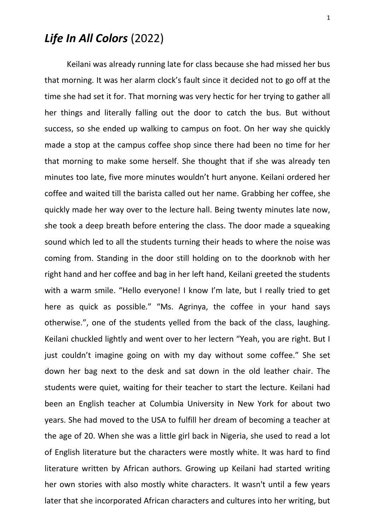## *Life In All Colors* (2022)

Keilani was already running late for class because she had missed her bus that morning. It was her alarm clock's fault since it decided not to go off at the time she had set it for. That morning was very hectic for her trying to gather all her things and literally falling out the door to catch the bus. But without success, so she ended up walking to campus on foot. On her way she quickly made a stop at the campus coffee shop since there had been no time for her that morning to make some herself. She thought that if she was already ten minutes too late, five more minutes wouldn't hurt anyone. Keilani ordered her coffee and waited till the barista called out her name. Grabbing her coffee, she quickly made her way over to the lecture hall. Being twenty minutes late now, she took a deep breath before entering the class. The door made a squeaking sound which led to all the students turning their heads to where the noise was coming from. Standing in the door still holding on to the doorknob with her right hand and her coffee and bag in her left hand, Keilani greeted the students with a warm smile. "Hello everyone! I know I'm late, but I really tried to get here as quick as possible." "Ms. Agrinya, the coffee in your hand says otherwise.", one of the students yelled from the back of the class, laughing. Keilani chuckled lightly and went over to her lectern "Yeah, you are right. But I just couldn't imagine going on with my day without some coffee." She set down her bag next to the desk and sat down in the old leather chair. The students were quiet, waiting for their teacher to start the lecture. Keilani had been an English teacher at Columbia University in New York for about two years. She had moved to the USA to fulfill her dream of becoming a teacher at the age of 20. When she was a little girl back in Nigeria, she used to read a lot of English literature but the characters were mostly white. It was hard to find literature written by African authors. Growing up Keilani had started writing her own stories with also mostly white characters. It wasn't until a few years later that she incorporated African characters and cultures into her writing, but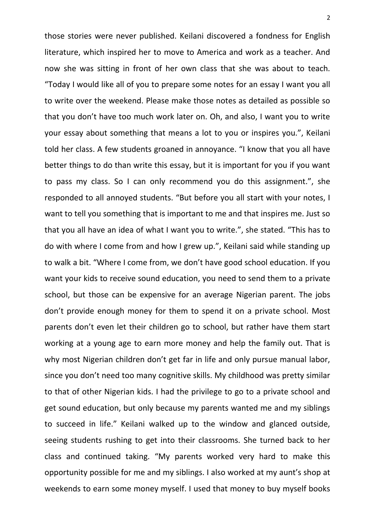those stories were never published. Keilani discovered a fondness for English literature, which inspired her to move to America and work as a teacher. And now she was sitting in front of her own class that she was about to teach. "Today I would like all of you to prepare some notes for an essay I want you all to write over the weekend. Please make those notes as detailed as possible so that you don't have too much work later on. Oh, and also, I want you to write your essay about something that means a lot to you or inspires you.", Keilani told her class. A few students groaned in annoyance. "I know that you all have better things to do than write this essay, but it is important for you if you want to pass my class. So I can only recommend you do this assignment.", she responded to all annoyed students. "But before you all start with your notes, I want to tell you something that is important to me and that inspires me. Just so that you all have an idea of what I want you to write.", she stated. "This has to do with where I come from and how I grew up.", Keilani said while standing up to walk a bit. "Where I come from, we don't have good school education. If you want your kids to receive sound education, you need to send them to a private school, but those can be expensive for an average Nigerian parent. The jobs don't provide enough money for them to spend it on a private school. Most parents don't even let their children go to school, but rather have them start working at a young age to earn more money and help the family out. That is why most Nigerian children don't get far in life and only pursue manual labor, since you don't need too many cognitive skills. My childhood was pretty similar to that of other Nigerian kids. I had the privilege to go to a private school and get sound education, but only because my parents wanted me and my siblings to succeed in life." Keilani walked up to the window and glanced outside, seeing students rushing to get into their classrooms. She turned back to her class and continued taking. "My parents worked very hard to make this opportunity possible for me and my siblings. I also worked at my aunt's shop at weekends to earn some money myself. I used that money to buy myself books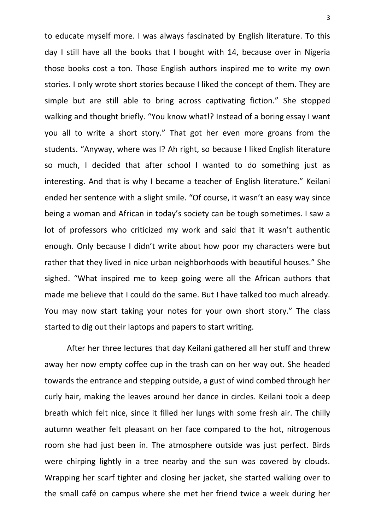to educate myself more. I was always fascinated by English literature. To this day I still have all the books that I bought with 14, because over in Nigeria those books cost a ton. Those English authors inspired me to write my own stories. I only wrote short stories because I liked the concept of them. They are simple but are still able to bring across captivating fiction." She stopped walking and thought briefly. "You know what!? Instead of a boring essay I want you all to write a short story." That got her even more groans from the students. "Anyway, where was I? Ah right, so because I liked English literature so much, I decided that after school I wanted to do something just as interesting. And that is why I became a teacher of English literature." Keilani ended her sentence with a slight smile. "Of course, it wasn't an easy way since being a woman and African in today's society can be tough sometimes. I saw a lot of professors who criticized my work and said that it wasn't authentic enough. Only because I didn't write about how poor my characters were but rather that they lived in nice urban neighborhoods with beautiful houses." She sighed. "What inspired me to keep going were all the African authors that made me believe that I could do the same. But I have talked too much already. You may now start taking your notes for your own short story." The class started to dig out their laptops and papers to start writing.

After her three lectures that day Keilani gathered all her stuff and threw away her now empty coffee cup in the trash can on her way out. She headed towards the entrance and stepping outside, a gust of wind combed through her curly hair, making the leaves around her dance in circles. Keilani took a deep breath which felt nice, since it filled her lungs with some fresh air. The chilly autumn weather felt pleasant on her face compared to the hot, nitrogenous room she had just been in. The atmosphere outside was just perfect. Birds were chirping lightly in a tree nearby and the sun was covered by clouds. Wrapping her scarf tighter and closing her jacket, she started walking over to the small café on campus where she met her friend twice a week during her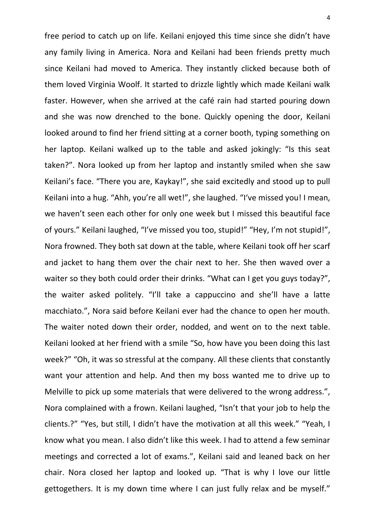free period to catch up on life. Keilani enjoyed this time since she didn't have any family living in America. Nora and Keilani had been friends pretty much since Keilani had moved to America. They instantly clicked because both of them loved Virginia Woolf. It started to drizzle lightly which made Keilani walk faster. However, when she arrived at the café rain had started pouring down and she was now drenched to the bone. Quickly opening the door, Keilani looked around to find her friend sitting at a corner booth, typing something on her laptop. Keilani walked up to the table and asked jokingly: "Is this seat taken?". Nora looked up from her laptop and instantly smiled when she saw Keilani's face. "There you are, Kaykay!", she said excitedly and stood up to pull Keilani into a hug. "Ahh, you're all wet!", she laughed. "I've missed you! I mean, we haven't seen each other for only one week but I missed this beautiful face of yours." Keilani laughed, "I've missed you too, stupid!" "Hey, I'm not stupid!", Nora frowned. They both sat down at the table, where Keilani took off her scarf and jacket to hang them over the chair next to her. She then waved over a waiter so they both could order their drinks. "What can I get you guys today?", the waiter asked politely. "I'll take a cappuccino and she'll have a latte macchiato.", Nora said before Keilani ever had the chance to open her mouth. The waiter noted down their order, nodded, and went on to the next table. Keilani looked at her friend with a smile "So, how have you been doing this last week?" "Oh, it was so stressful at the company. All these clients that constantly want your attention and help. And then my boss wanted me to drive up to Melville to pick up some materials that were delivered to the wrong address.", Nora complained with a frown. Keilani laughed, "Isn't that your job to help the clients.?" "Yes, but still, I didn't have the motivation at all this week." "Yeah, I know what you mean. I also didn't like this week. I had to attend a few seminar meetings and corrected a lot of exams.", Keilani said and leaned back on her chair. Nora closed her laptop and looked up. "That is why I love our little gettogethers. It is my down time where I can just fully relax and be myself."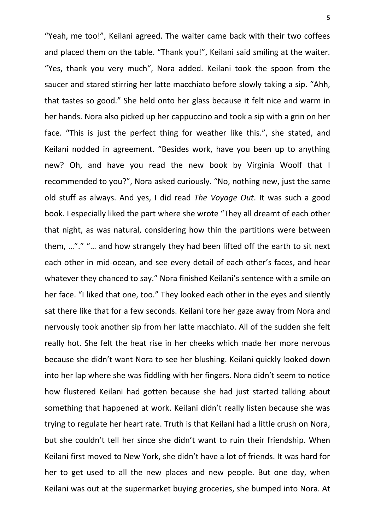"Yeah, me too!", Keilani agreed. The waiter came back with their two coffees and placed them on the table. "Thank you!", Keilani said smiling at the waiter. "Yes, thank you very much", Nora added. Keilani took the spoon from the saucer and stared stirring her latte macchiato before slowly taking a sip. "Ahh, that tastes so good." She held onto her glass because it felt nice and warm in her hands. Nora also picked up her cappuccino and took a sip with a grin on her face. "This is just the perfect thing for weather like this.", she stated, and Keilani nodded in agreement. "Besides work, have you been up to anything new? Oh, and have you read the new book by Virginia Woolf that I recommended to you?", Nora asked curiously. "No, nothing new, just the same old stuff as always. And yes, I did read *The Voyage Out*. It was such a good book. I especially liked the part where she wrote "They all dreamt of each other that night, as was natural, considering how thin the partitions were between them, …"." "… and how strangely they had been lifted off the earth to sit next each other in mid-ocean, and see every detail of each other's faces, and hear whatever they chanced to say." Nora finished Keilani's sentence with a smile on her face. "I liked that one, too." They looked each other in the eyes and silently sat there like that for a few seconds. Keilani tore her gaze away from Nora and nervously took another sip from her latte macchiato. All of the sudden she felt really hot. She felt the heat rise in her cheeks which made her more nervous because she didn't want Nora to see her blushing. Keilani quickly looked down into her lap where she was fiddling with her fingers. Nora didn't seem to notice how flustered Keilani had gotten because she had just started talking about something that happened at work. Keilani didn't really listen because she was trying to regulate her heart rate. Truth is that Keilani had a little crush on Nora, but she couldn't tell her since she didn't want to ruin their friendship. When Keilani first moved to New York, she didn't have a lot of friends. It was hard for her to get used to all the new places and new people. But one day, when Keilani was out at the supermarket buying groceries, she bumped into Nora. At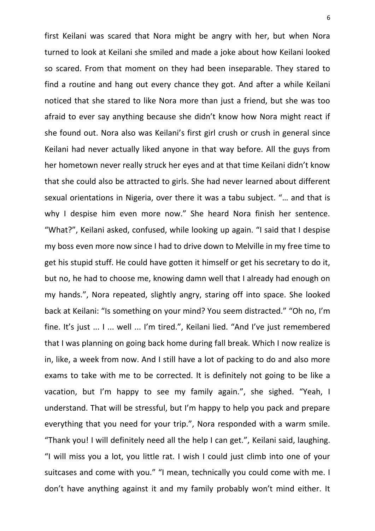first Keilani was scared that Nora might be angry with her, but when Nora turned to look at Keilani she smiled and made a joke about how Keilani looked so scared. From that moment on they had been inseparable. They stared to find a routine and hang out every chance they got. And after a while Keilani noticed that she stared to like Nora more than just a friend, but she was too afraid to ever say anything because she didn't know how Nora might react if she found out. Nora also was Keilani's first girl crush or crush in general since Keilani had never actually liked anyone in that way before. All the guys from her hometown never really struck her eyes and at that time Keilani didn't know that she could also be attracted to girls. She had never learned about different sexual orientations in Nigeria, over there it was a tabu subject. "… and that is why I despise him even more now." She heard Nora finish her sentence. "What?", Keilani asked, confused, while looking up again. "I said that I despise my boss even more now since I had to drive down to Melville in my free time to get his stupid stuff. He could have gotten it himself or get his secretary to do it, but no, he had to choose me, knowing damn well that I already had enough on my hands.", Nora repeated, slightly angry, staring off into space. She looked back at Keilani: "Is something on your mind? You seem distracted." "Oh no, I'm fine. It's just ... I ... well ... I'm tired.", Keilani lied. "And I've just remembered that I was planning on going back home during fall break. Which I now realize is in, like, a week from now. And I still have a lot of packing to do and also more exams to take with me to be corrected. It is definitely not going to be like a vacation, but I'm happy to see my family again.", she sighed. "Yeah, I understand. That will be stressful, but I'm happy to help you pack and prepare everything that you need for your trip.", Nora responded with a warm smile. "Thank you! I will definitely need all the help I can get.", Keilani said, laughing. "I will miss you a lot, you little rat. I wish I could just climb into one of your suitcases and come with you." "I mean, technically you could come with me. I don't have anything against it and my family probably won't mind either. It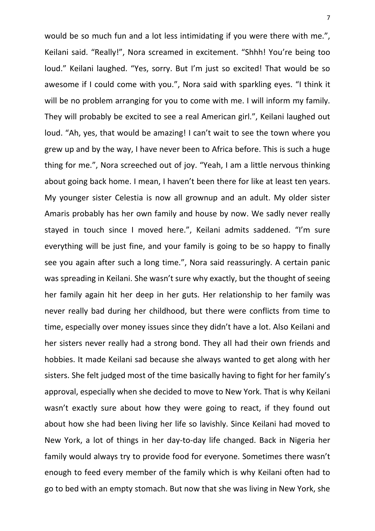would be so much fun and a lot less intimidating if you were there with me.", Keilani said. "Really!", Nora screamed in excitement. "Shhh! You're being too loud." Keilani laughed. "Yes, sorry. But I'm just so excited! That would be so awesome if I could come with you.", Nora said with sparkling eyes. "I think it will be no problem arranging for you to come with me. I will inform my family. They will probably be excited to see a real American girl.", Keilani laughed out loud. "Ah, yes, that would be amazing! I can't wait to see the town where you grew up and by the way, I have never been to Africa before. This is such a huge thing for me.", Nora screeched out of joy. "Yeah, I am a little nervous thinking about going back home. I mean, I haven't been there for like at least ten years. My younger sister Celestia is now all grownup and an adult. My older sister Amaris probably has her own family and house by now. We sadly never really stayed in touch since I moved here.", Keilani admits saddened. "I'm sure everything will be just fine, and your family is going to be so happy to finally see you again after such a long time.", Nora said reassuringly. A certain panic was spreading in Keilani. She wasn't sure why exactly, but the thought of seeing her family again hit her deep in her guts. Her relationship to her family was never really bad during her childhood, but there were conflicts from time to time, especially over money issues since they didn't have a lot. Also Keilani and her sisters never really had a strong bond. They all had their own friends and hobbies. It made Keilani sad because she always wanted to get along with her sisters. She felt judged most of the time basically having to fight for her family's approval, especially when she decided to move to New York. That is why Keilani wasn't exactly sure about how they were going to react, if they found out about how she had been living her life so lavishly. Since Keilani had moved to New York, a lot of things in her day-to-day life changed. Back in Nigeria her family would always try to provide food for everyone. Sometimes there wasn't enough to feed every member of the family which is why Keilani often had to go to bed with an empty stomach. But now that she was living in New York, she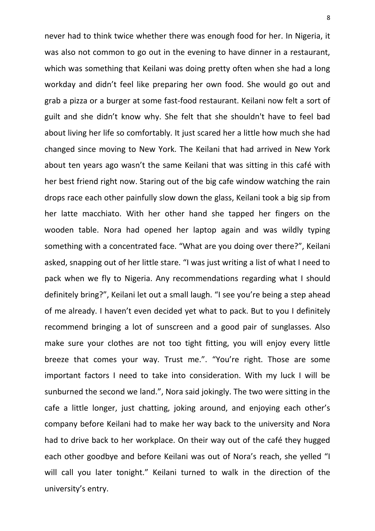never had to think twice whether there was enough food for her. In Nigeria, it was also not common to go out in the evening to have dinner in a restaurant, which was something that Keilani was doing pretty often when she had a long workday and didn't feel like preparing her own food. She would go out and grab a pizza or a burger at some fast-food restaurant. Keilani now felt a sort of guilt and she didn't know why. She felt that she shouldn't have to feel bad about living her life so comfortably. It just scared her a little how much she had changed since moving to New York. The Keilani that had arrived in New York about ten years ago wasn't the same Keilani that was sitting in this café with her best friend right now. Staring out of the big cafe window watching the rain drops race each other painfully slow down the glass, Keilani took a big sip from her latte macchiato. With her other hand she tapped her fingers on the wooden table. Nora had opened her laptop again and was wildly typing something with a concentrated face. "What are you doing over there?", Keilani asked, snapping out of her little stare. "I was just writing a list of what I need to pack when we fly to Nigeria. Any recommendations regarding what I should definitely bring?", Keilani let out a small laugh. "I see you're being a step ahead of me already. I haven't even decided yet what to pack. But to you I definitely recommend bringing a lot of sunscreen and a good pair of sunglasses. Also make sure your clothes are not too tight fitting, you will enjoy every little breeze that comes your way. Trust me.". "You're right. Those are some important factors I need to take into consideration. With my luck I will be sunburned the second we land.", Nora said jokingly. The two were sitting in the cafe a little longer, just chatting, joking around, and enjoying each other's company before Keilani had to make her way back to the university and Nora had to drive back to her workplace. On their way out of the café they hugged each other goodbye and before Keilani was out of Nora's reach, she yelled "I will call you later tonight." Keilani turned to walk in the direction of the university's entry.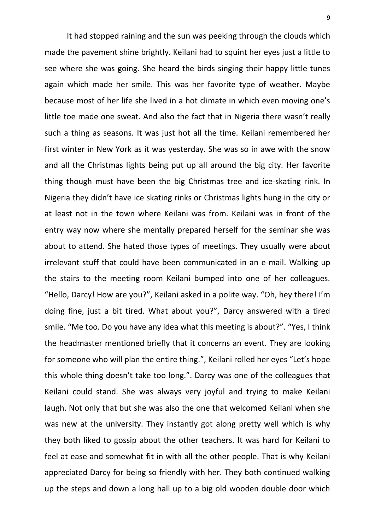It had stopped raining and the sun was peeking through the clouds which made the pavement shine brightly. Keilani had to squint her eyes just a little to see where she was going. She heard the birds singing their happy little tunes again which made her smile. This was her favorite type of weather. Maybe because most of her life she lived in a hot climate in which even moving one's little toe made one sweat. And also the fact that in Nigeria there wasn't really such a thing as seasons. It was just hot all the time. Keilani remembered her first winter in New York as it was yesterday. She was so in awe with the snow and all the Christmas lights being put up all around the big city. Her favorite thing though must have been the big Christmas tree and ice-skating rink. In Nigeria they didn't have ice skating rinks or Christmas lights hung in the city or at least not in the town where Keilani was from. Keilani was in front of the entry way now where she mentally prepared herself for the seminar she was about to attend. She hated those types of meetings. They usually were about irrelevant stuff that could have been communicated in an e-mail. Walking up the stairs to the meeting room Keilani bumped into one of her colleagues. "Hello, Darcy! How are you?", Keilani asked in a polite way. "Oh, hey there! I'm doing fine, just a bit tired. What about you?", Darcy answered with a tired smile. "Me too. Do you have any idea what this meeting is about?". "Yes, I think the headmaster mentioned briefly that it concerns an event. They are looking for someone who will plan the entire thing.", Keilani rolled her eyes "Let's hope this whole thing doesn't take too long.". Darcy was one of the colleagues that Keilani could stand. She was always very joyful and trying to make Keilani laugh. Not only that but she was also the one that welcomed Keilani when she was new at the university. They instantly got along pretty well which is why they both liked to gossip about the other teachers. It was hard for Keilani to feel at ease and somewhat fit in with all the other people. That is why Keilani appreciated Darcy for being so friendly with her. They both continued walking up the steps and down a long hall up to a big old wooden double door which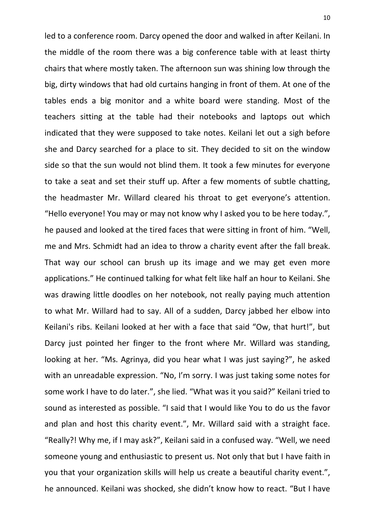led to a conference room. Darcy opened the door and walked in after Keilani. In the middle of the room there was a big conference table with at least thirty chairs that where mostly taken. The afternoon sun was shining low through the big, dirty windows that had old curtains hanging in front of them. At one of the tables ends a big monitor and a white board were standing. Most of the teachers sitting at the table had their notebooks and laptops out which indicated that they were supposed to take notes. Keilani let out a sigh before she and Darcy searched for a place to sit. They decided to sit on the window side so that the sun would not blind them. It took a few minutes for everyone to take a seat and set their stuff up. After a few moments of subtle chatting, the headmaster Mr. Willard cleared his throat to get everyone's attention. "Hello everyone! You may or may not know why I asked you to be here today.", he paused and looked at the tired faces that were sitting in front of him. "Well, me and Mrs. Schmidt had an idea to throw a charity event after the fall break. That way our school can brush up its image and we may get even more applications." He continued talking for what felt like half an hour to Keilani. She was drawing little doodles on her notebook, not really paying much attention to what Mr. Willard had to say. All of a sudden, Darcy jabbed her elbow into Keilani's ribs. Keilani looked at her with a face that said "Ow, that hurt!", but Darcy just pointed her finger to the front where Mr. Willard was standing, looking at her. "Ms. Agrinya, did you hear what I was just saying?", he asked with an unreadable expression. "No, I'm sorry. I was just taking some notes for some work I have to do later.", she lied. "What was it you said?" Keilani tried to sound as interested as possible. "I said that I would like You to do us the favor and plan and host this charity event.", Mr. Willard said with a straight face. "Really?! Why me, if I may ask?", Keilani said in a confused way. "Well, we need someone young and enthusiastic to present us. Not only that but I have faith in you that your organization skills will help us create a beautiful charity event.", he announced. Keilani was shocked, she didn't know how to react. "But I have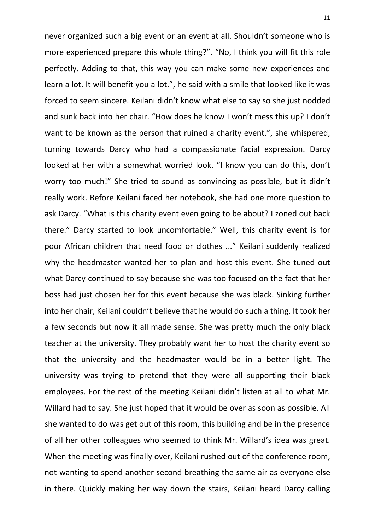never organized such a big event or an event at all. Shouldn't someone who is more experienced prepare this whole thing?". "No, I think you will fit this role perfectly. Adding to that, this way you can make some new experiences and learn a lot. It will benefit you a lot.", he said with a smile that looked like it was forced to seem sincere. Keilani didn't know what else to say so she just nodded and sunk back into her chair. "How does he know I won't mess this up? I don't want to be known as the person that ruined a charity event.", she whispered, turning towards Darcy who had a compassionate facial expression. Darcy looked at her with a somewhat worried look. "I know you can do this, don't worry too much!" She tried to sound as convincing as possible, but it didn't really work. Before Keilani faced her notebook, she had one more question to ask Darcy. "What is this charity event even going to be about? I zoned out back there." Darcy started to look uncomfortable." Well, this charity event is for poor African children that need food or clothes ..." Keilani suddenly realized why the headmaster wanted her to plan and host this event. She tuned out what Darcy continued to say because she was too focused on the fact that her boss had just chosen her for this event because she was black. Sinking further into her chair, Keilani couldn't believe that he would do such a thing. It took her a few seconds but now it all made sense. She was pretty much the only black teacher at the university. They probably want her to host the charity event so that the university and the headmaster would be in a better light. The university was trying to pretend that they were all supporting their black employees. For the rest of the meeting Keilani didn't listen at all to what Mr. Willard had to say. She just hoped that it would be over as soon as possible. All she wanted to do was get out of this room, this building and be in the presence of all her other colleagues who seemed to think Mr. Willard's idea was great. When the meeting was finally over, Keilani rushed out of the conference room, not wanting to spend another second breathing the same air as everyone else in there. Quickly making her way down the stairs, Keilani heard Darcy calling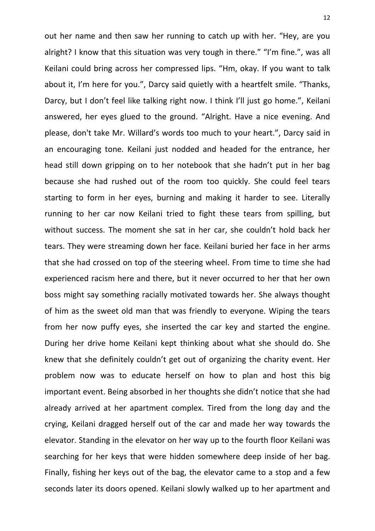out her name and then saw her running to catch up with her. "Hey, are you alright? I know that this situation was very tough in there." "I'm fine.", was all Keilani could bring across her compressed lips. "Hm, okay. If you want to talk about it, I'm here for you.", Darcy said quietly with a heartfelt smile. "Thanks, Darcy, but I don't feel like talking right now. I think I'll just go home.", Keilani answered, her eyes glued to the ground. "Alright. Have a nice evening. And please, don't take Mr. Willard's words too much to your heart.", Darcy said in an encouraging tone. Keilani just nodded and headed for the entrance, her head still down gripping on to her notebook that she hadn't put in her bag because she had rushed out of the room too quickly. She could feel tears starting to form in her eyes, burning and making it harder to see. Literally running to her car now Keilani tried to fight these tears from spilling, but without success. The moment she sat in her car, she couldn't hold back her tears. They were streaming down her face. Keilani buried her face in her arms that she had crossed on top of the steering wheel. From time to time she had experienced racism here and there, but it never occurred to her that her own boss might say something racially motivated towards her. She always thought of him as the sweet old man that was friendly to everyone. Wiping the tears from her now puffy eyes, she inserted the car key and started the engine. During her drive home Keilani kept thinking about what she should do. She knew that she definitely couldn't get out of organizing the charity event. Her problem now was to educate herself on how to plan and host this big important event. Being absorbed in her thoughts she didn't notice that she had already arrived at her apartment complex. Tired from the long day and the crying, Keilani dragged herself out of the car and made her way towards the elevator. Standing in the elevator on her way up to the fourth floor Keilani was searching for her keys that were hidden somewhere deep inside of her bag. Finally, fishing her keys out of the bag, the elevator came to a stop and a few seconds later its doors opened. Keilani slowly walked up to her apartment and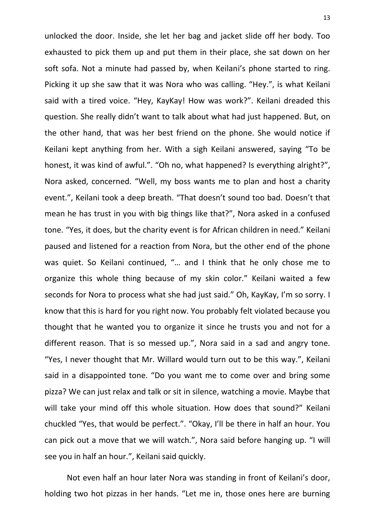unlocked the door. Inside, she let her bag and jacket slide off her body. Too exhausted to pick them up and put them in their place, she sat down on her soft sofa. Not a minute had passed by, when Keilani's phone started to ring. Picking it up she saw that it was Nora who was calling. "Hey.", is what Keilani said with a tired voice. "Hey, KayKay! How was work?". Keilani dreaded this question. She really didn't want to talk about what had just happened. But, on the other hand, that was her best friend on the phone. She would notice if Keilani kept anything from her. With a sigh Keilani answered, saying "To be honest, it was kind of awful.". "Oh no, what happened? Is everything alright?", Nora asked, concerned. "Well, my boss wants me to plan and host a charity event.", Keilani took a deep breath. "That doesn't sound too bad. Doesn't that mean he has trust in you with big things like that?", Nora asked in a confused tone. "Yes, it does, but the charity event is for African children in need." Keilani paused and listened for a reaction from Nora, but the other end of the phone was quiet. So Keilani continued, "… and I think that he only chose me to organize this whole thing because of my skin color." Keilani waited a few seconds for Nora to process what she had just said." Oh, KayKay, I'm so sorry. I know that this is hard for you right now. You probably felt violated because you thought that he wanted you to organize it since he trusts you and not for a different reason. That is so messed up.", Nora said in a sad and angry tone. "Yes, I never thought that Mr. Willard would turn out to be this way.", Keilani said in a disappointed tone. "Do you want me to come over and bring some pizza? We can just relax and talk or sit in silence, watching a movie. Maybe that will take your mind off this whole situation. How does that sound?" Keilani chuckled "Yes, that would be perfect.". "Okay, I'll be there in half an hour. You can pick out a move that we will watch.", Nora said before hanging up. "I will see you in half an hour.", Keilani said quickly.

Not even half an hour later Nora was standing in front of Keilani's door, holding two hot pizzas in her hands. "Let me in, those ones here are burning